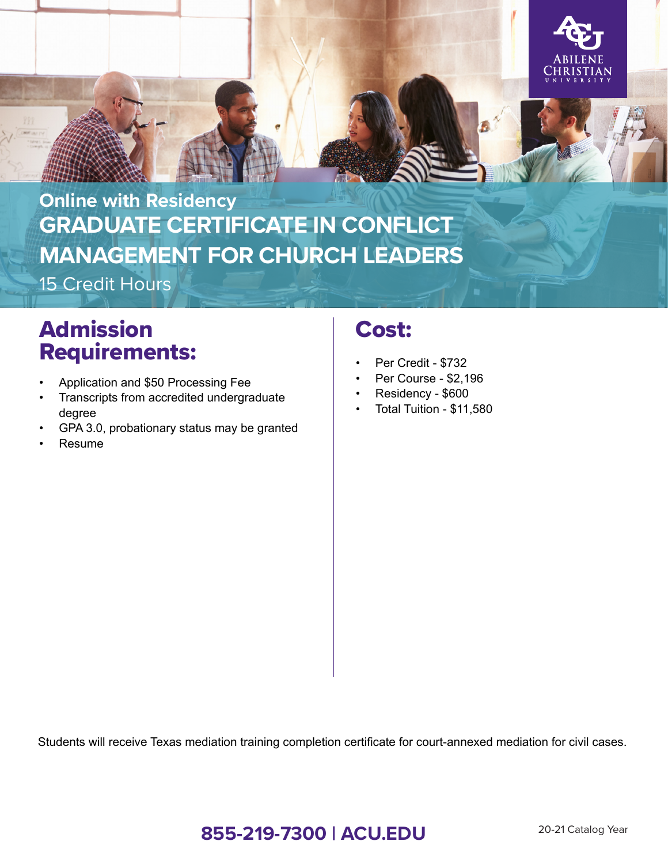

# **GRADUATE CERTIFICATE IN CONFLICT MANAGEMENT FOR CHURCH LEADERS Online with Residency**

15 Credit Hours

# Admission Requirements:

- Application and \$50 Processing Fee
- Transcripts from accredited undergraduate degree
- GPA 3.0, probationary status may be granted
- Resume

## Cost:

- Per Credit \$732
- Per Course \$2,196
- Residency \$600
- Total Tuition \$11,580

Students will receive Texas mediation training completion certificate for court-annexed mediation for civil cases.

### **855-219-7300 | ACU.EDU** 20-21 Catalog Year